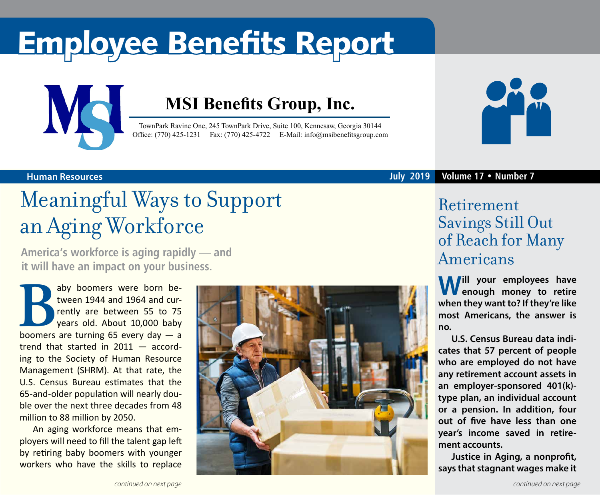# Employee Benefits Report



### **MSI Benefits Group, Inc.**

TownPark Ravine One, 245 TownPark Drive, Suite 100, Kennesaw, Georgia 30144 Office: (770) 425-1231 Fax: (770) 425-4722 E-Mail: [info@msibenefitsgroup.com](mailto:info@msibenefitsgroup.com)



#### **Human Resources July 2019 Volume 17 • Number 7**

### Meaningful Ways to Support an Aging Workforce

**America's workforce is aging rapidly — and it will have an impact on your business.** 

aby boomers were born be-<br>tween 1944 and 1964 and cur-<br>rently are between 55 to 75<br>pears old. About 10,000 baby<br>boomers are turning 65 every day — a tween 1944 and 1964 and currently are between 55 to 75 years old. About 10,000 baby trend that started in 2011 — according to the Society of Human Resource Management (SHRM). At that rate, the U.S. Census Bureau estimates that the 65-and-older population will nearly double over the next three decades from 48 million to 88 million by 2050.

An aging workforce means that employers will need to fill the talent gap left by retiring baby boomers with younger workers who have the skills to replace



### Retirement Savings Still Out of Reach for Many Americans

**Will your employees have enough money to retire when they want to? If they're like most Americans, the answer is no.**

**U.S. Census Bureau data indicates that 57 percent of people who are employed do not have any retirement account assets in an employer-sponsored 401(k) type plan, an individual account or a pension. In addition, four out of five have less than one year's income saved in retirement accounts.** 

**Justice in Aging, a nonprofit, says that stagnant wages make it**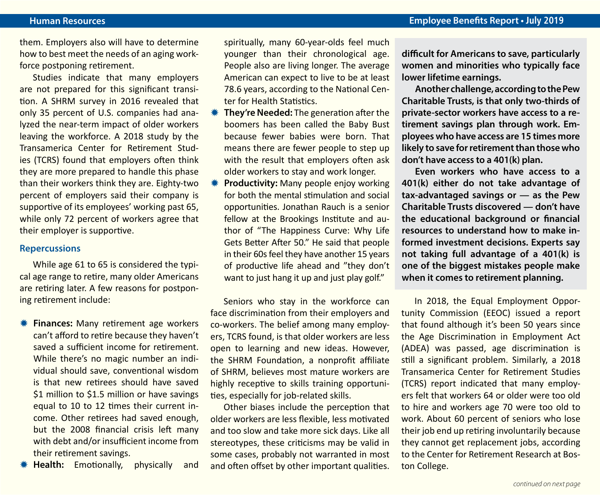them. Employers also will have to determine how to best meet the needs of an aging workforce postponing retirement.

Studies indicate that many employers are not prepared for this significant transition. A SHRM survey in 2016 revealed that only 35 percent of U.S. companies had analyzed the near-term impact of older workers leaving the workforce. A 2018 study by the Transamerica Center for Retirement Studies (TCRS) found that employers often think they are more prepared to handle this phase than their workers think they are. Eighty-two percent of employers said their company is supportive of its employees' working past 65, while only 72 percent of workers agree that their employer is supportive.

#### **Repercussions**

While age 61 to 65 is considered the typical age range to retire, many older Americans are retiring later. A few reasons for postponing retirement include:

- *<b>W* Finances: Many retirement age workers can't afford to retire because they haven't saved a sufficient income for retirement. While there's no magic number an individual should save, conventional wisdom is that new retirees should have saved \$1 million to \$1.5 million or have savings equal to 10 to 12 times their current income. Other retirees had saved enough, but the 2008 financial crisis left many with debt and/or insufficient income from their retirement savings.
- **Health:** Emotionally, physically and

spiritually, many 60-year-olds feel much younger than their chronological age. People also are living longer. The average American can expect to live to be at least 78.6 years, according to the National Center for Health Statistics.

- **WE They're Needed:** The generation after the boomers has been called the Baby Bust because fewer babies were born. That means there are fewer people to step up with the result that employers often ask older workers to stay and work longer.
- **\* Productivity:** Many people enjoy working for both the mental stimulation and social opportunities. Jonathan Rauch is a senior fellow at the Brookings Institute and author of "The Happiness Curve: Why Life Gets Better After 50." He said that people in their 60s feel they have another 15 years of productive life ahead and "they don't want to just hang it up and just play golf."

Seniors who stay in the workforce can face discrimination from their employers and co-workers. The belief among many employers, TCRS found, is that older workers are less open to learning and new ideas. However, the SHRM Foundation, a nonprofit affiliate of SHRM, believes most mature workers are highly receptive to skills training opportunities, especially for job-related skills.

Other biases include the perception that older workers are less flexible, less motivated and too slow and take more sick days. Like all stereotypes, these criticisms may be valid in some cases, probably not warranted in most and often offset by other important qualities.

**difficult for Americans to save, particularly women and minorities who typically face lower lifetime earnings.** 

**Another challenge, according to the Pew Charitable Trusts, is that only two-thirds of private-sector workers have access to a retirement savings plan through work. Employees who have access are 15 times more likely to save for retirement than those who don't have access to a 401(k) plan.**

**Even workers who have access to a 401(k) either do not take advantage of tax-advantaged savings or — as the Pew Charitable Trusts discovered — don't have the educational background or financial resources to understand how to make informed investment decisions. Experts say not taking full advantage of a 401(k) is one of the biggest mistakes people make when it comes to retirement planning.**

In 2018, the Equal Employment Opportunity Commission (EEOC) issued a report that found although it's been 50 years since the Age Discrimination in Employment Act (ADEA) was passed, age discrimination is still a significant problem. Similarly, a 2018 Transamerica Center for Retirement Studies (TCRS) report indicated that many employers felt that workers 64 or older were too old to hire and workers age 70 were too old to work. About 60 percent of seniors who lose their job end up retiring involuntarily because they cannot get replacement jobs, according to the Center for Retirement Research at Boston College.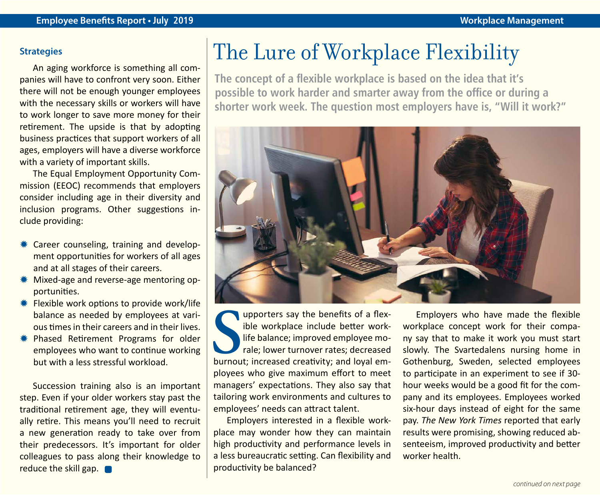#### **Strategies**

An aging workforce is something all companies will have to confront very soon. Either there will not be enough younger employees with the necessary skills or workers will have to work longer to save more money for their retirement. The upside is that by adopting business practices that support workers of all ages, employers will have a diverse workforce with a variety of important skills.

The Equal Employment Opportunity Commission (EEOC) recommends that employers consider including age in their diversity and inclusion programs. Other suggestions include providing:

- $*$  Career counseling, training and development opportunities for workers of all ages and at all stages of their careers.
- Wixed-age and reverse-age mentoring opportunities.
- $*$  Flexible work options to provide work/life balance as needed by employees at various times in their careers and in their lives.
- **\*** Phased Retirement Programs for older employees who want to continue working but with a less stressful workload.

Succession training also is an important step. Even if your older workers stay past the traditional retirement age, they will eventually retire. This means you'll need to recruit a new generation ready to take over from their predecessors. It's important for older colleagues to pass along their knowledge to reduce the skill gap.

### The Lure of Workplace Flexibility

**The concept of a flexible workplace is based on the idea that it's possible to work harder and smarter away from the office or during a shorter work week. The question most employers have is, "Will it work?"** 



**SERVIDE SERVIDE CONCRETE SOUTHER**<br>
SPECIFIED WORKING SUPPORT THE SUPPORT THE SPACE CREATION CONTROLLER<br>
SPECIFIED SPACE CREATION CONTROLLER<br>
SPACE CREATION CONTROLLER<br>
SPACE CREATION CONTROLLER<br>
SPACE CREATION CONTROLLER<br> upporters say the benefits of a flexible workplace include better worklife balance; improved employee morale; lower turnover rates; decreased ployees who give maximum effort to meet managers' expectations. They also say that tailoring work environments and cultures to employees' needs can attract talent.

Employers interested in a flexible workplace may wonder how they can maintain high productivity and performance levels in a less bureaucratic setting. Can flexibility and productivity be balanced?

Employers who have made the flexible workplace concept work for their company say that to make it work you must start slowly. The Svartedalens nursing home in Gothenburg, Sweden, selected employees to participate in an experiment to see if 30 hour weeks would be a good fit for the company and its employees. Employees worked six-hour days instead of eight for the same pay. *The New York Times* reported that early results were promising, showing reduced absenteeism, improved productivity and better worker health.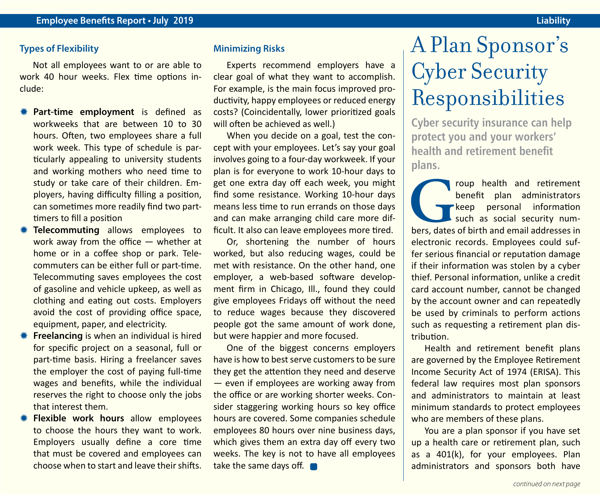Not all employees want to or are able to work 40 hour weeks. Flex time options include:

- **\*\*** Part-time employment is defined as workweeks that are between 10 to 30 hours. Often, two employees share a full work week. This type of schedule is particularly appealing to university students and working mothers who need time to study or take care of their children. Employers, having difficulty filling a position, can sometimes more readily find two parttimers to fill a position
- **\* Telecommuting** allows employees to work away from the office — whether at home or in a coffee shop or park. Telecommuters can be either full or part-time. Telecommuting saves employees the cost of gasoline and vehicle upkeep, as well as clothing and eating out costs. Employers avoid the cost of providing office space, equipment, paper, and electricity.
- **K** Freelancing is when an individual is hired for specific project on a seasonal, full or part-time basis. Hiring a freelancer saves the employer the cost of paying full-time wages and benefits, while the individual reserves the right to choose only the jobs that interest them.
- *<b>W* Flexible work hours allow employees to choose the hours they want to work. Employers usually define a core time that must be covered and employees can choose when to start and leave their shifts.

#### **Minimizing Risks**

Experts recommend employers have a clear goal of what they want to accomplish. For example, is the main focus improved productivity, happy employees or reduced energy costs? (Coincidentally, lower prioritized goals will often be achieved as well.)

When you decide on a goal, test the concept with your employees. Let's say your goal involves going to a four-day workweek. If your plan is for everyone to work 10-hour days to get one extra day off each week, you might find some resistance. Working 10-hour days means less time to run errands on those days and can make arranging child care more difficult. It also can leave employees more tired.

Or, shortening the number of hours worked, but also reducing wages, could be met with resistance. On the other hand, one employer, a web-based software development firm in Chicago, Ill., found they could give employees Fridays off without the need to reduce wages because they discovered people got the same amount of work done, but were happier and more focused.

One of the biggest concerns employers have is how to best serve customers to be sure they get the attention they need and deserve — even if employees are working away from the office or are working shorter weeks. Consider staggering working hours so key office hours are covered. Some companies schedule employees 80 hours over nine business days, which gives them an extra day off every two weeks. The key is not to have all employees take the same days off.

### A Plan Sponsor's Cyber Security Responsibilities

**Cyber security insurance can help protect you and your workers' health and retirement benefit plans.** 

**Group health and retirement**<br>
benefit plan administrators<br>
such as social security num-<br>
bers, dates of birth and email addresses in benefit plan administrators **keep** personal information such as social security numelectronic records. Employees could suffer serious financial or reputation damage if their information was stolen by a cyber thief. Personal information, unlike a credit card account number, cannot be changed by the account owner and can repeatedly be used by criminals to perform actions such as requesting a retirement plan distribution.

Health and retirement benefit plans are governed by the Employee Retirement Income Security Act of 1974 (ERISA). This federal law requires most plan sponsors and administrators to maintain at least minimum standards to protect employees who are members of these plans.

You are a plan sponsor if you have set up a health care or retirement plan, such as a 401(k), for your employees. Plan administrators and sponsors both have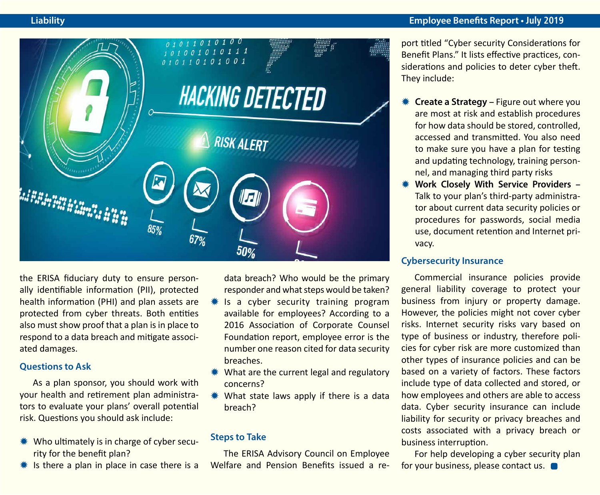

the ERISA fiduciary duty to ensure personally identifiable information (PII), protected health information (PHI) and plan assets are protected from cyber threats. Both entities also must show proof that a plan is in place to respond to a data breach and mitigate associated damages.

#### **Questions to Ask**

As a plan sponsor, you should work with your health and retirement plan administrators to evaluate your plans' overall potential risk. Questions you should ask include:

- $*$  Who ultimately is in charge of cyber security for the benefit plan?
- $*$  Is there a plan in place in case there is a

data breach? Who would be the primary responder and what steps would be taken?

- Is a cyber security training program available for employees? According to a 2016 Association of Corporate Counsel Foundation report, employee error is the number one reason cited for data security breaches.
- $*$  What are the current legal and regulatory concerns?
- $*$  What state laws apply if there is a data breach?

#### **Steps to Take**

The ERISA Advisory Council on Employee Welfare and Pension Benefits issued a re-

#### **Liability Employee Benefits Report • July 2019**

port titled "Cyber security Considerations for Benefit Plans." It lists effective practices, considerations and policies to deter cyber theft. They include:

- **Create a Strategy Figure out where you** are most at risk and establish procedures for how data should be stored, controlled, accessed and transmitted. You also need to make sure you have a plan for testing and updating technology, training personnel, and managing third party risks
- **Work Closely With Service Providers -**Talk to your plan's third-party administrator about current data security policies or procedures for passwords, social media use, document retention and Internet privacy.

#### **Cybersecurity Insurance**

Commercial insurance policies provide general liability coverage to protect your business from injury or property damage. However, the policies might not cover cyber risks. Internet security risks vary based on type of business or industry, therefore policies for cyber risk are more customized than other types of insurance policies and can be based on a variety of factors. These factors include type of data collected and stored, or how employees and others are able to access data. Cyber security insurance can include liability for security or privacy breaches and costs associated with a privacy breach or business interruption.

For help developing a cyber security plan for your business, please contact us.